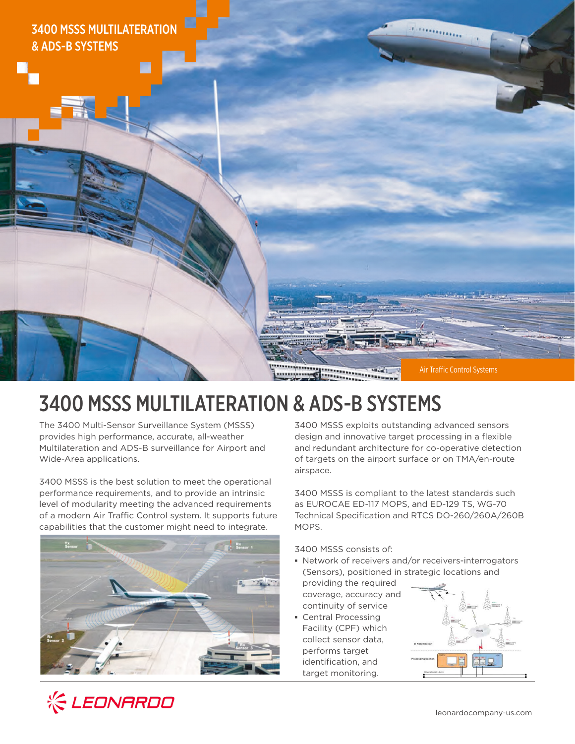

# 3400 MSSS MULTILATERATION & ADS-B SYSTEMS

The 3400 Multi-Sensor Surveillance System (MSSS) provides high performance, accurate, all-weather Multilateration and ADS-B surveillance for Airport and Wide-Area applications.

3400 MSSS is the best solution to meet the operational performance requirements, and to provide an intrinsic level of modularity meeting the advanced requirements of a modern Air Traffic Control system. It supports future capabilities that the customer might need to integrate.



3400 MSSS exploits outstanding advanced sensors design and innovative target processing in a flexible and redundant architecture for co-operative detection of targets on the airport surface or on TMA/en-route airspace.

3400 MSSS is compliant to the latest standards such as EUROCAE ED-117 MOPS, and ED-129 TS, WG-70 Technical Specification and RTCS DO-260/260A/260B MOPS.

3400 MSSS consists of:

- **▪** Network of receivers and/or receivers-interrogators (Sensors), positioned in strategic locations and
- providing the required coverage, accuracy and continuity of service
- **▪** Central Processing Facility (CPF) which collect sensor data, performs target identification, and target monitoring.